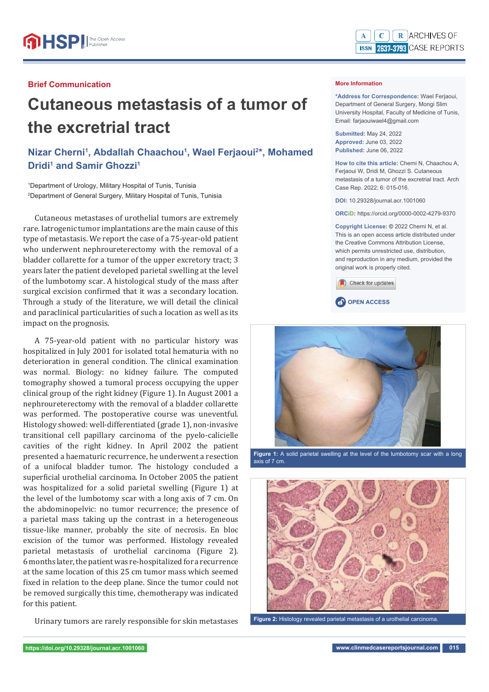## **Brief Communication**

## **Cutaneous metastasis of a tumor of the excretrial tract**

**Nizar Cherni1 , Abdallah Chaachou1 , Wael Ferjaoui2 \*, Mohamed Dridi<sup>1</sup> and Samir Ghozzi<sup>1</sup>** 

1 Department of Urology, Military Hospital of Tunis, Tunisia 2 Department of General Surgery, Military Hospital of Tunis, Tunisia

Cutaneous metastases of urothelial tumors are extremely rare. Iatrogenic tumor implantations are the main cause of this type of metastasis. We report the case of a 75-year-old patient who underwent nephroureterectomy with the removal of a bladder collarette for a tumor of the upper excretory tract; 3 years later the patient developed parietal swelling at the level of the lumbotomy scar. A histological study of the mass after surgical excision confirmed that it was a secondary location. Through a study of the literature, we will detail the clinical and paraclinical particularities of such a location as well as its impact on the prognosis.

A 75-year-old patient with no particular history was hospitalized in July 2001 for isolated total hematuria with no deterioration in general condition. The clinical examination was normal. Biology: no kidney failure. The computed tomography showed a tumoral process occupying the upper clinical group of the right kidney (Figure 1). In August 2001 a nephroureterectomy with the removal of a bladder collarette was performed. The postoperative course was uneventful. Histology showed: well-differentiated (grade 1), non-invasive transitional cell papillary carcinoma of the pyelo-calicielle cavities of the right kidney. In April 2002 the patient presented a haematuric recurrence, he underwent a resection of a unifocal bladder tumor. The histology concluded a superficial urothelial carcinoma. In October 2005 the patient was hospitalized for a solid parietal swelling (Figure 1) at the level of the lumbotomy scar with a long axis of 7 cm. On the abdominopelvic: no tumor recurrence; the presence of a parietal mass taking up the contrast in a heterogeneous tissue-like manner, probably the site of necrosis. En bloc excision of the tumor was performed. Histology revealed parietal metastasis of urothelial carcinoma (Figure 2). 6 months later, the patient was re-hospitalized for a recurrence at the same location of this 25 cm tumor mass which seemed fixed in relation to the deep plane. Since the tumor could not be removed surgically this time, chemotherapy was indicated for this patient.

Urinary tumors are rarely responsible for skin metastases



## **More Information**

**\*Address for Correspondence:** Wael Ferjaoui, Department of General Surgery, Mongi Slim University Hospital, Faculty of Medicine of Tunis, Email: farjaouiwael4@gmail.com

**Submitted:** May 24, 2022 **Approved:** June 03, 2022 **Published:** June 06, 2022

**How to cite this article:** Cherni N, Chaachou A, Ferjaoui W, Dridi M, Ghozzi S. Cutaneous metastasis of a tumor of the excretrial tract. Arch Case Rep. 2022; 6: 015-016.

**DOI:** 10.29328/journal.acr.1001060

**ORCiD:** https://orcid.org/0000-0002-4279-9370

**Copyright License: ©** 2022 Cherni N, et al. This is an open access article distributed under the Creative Commons Attribution License, which permits unrestricted use, distribution, and reproduction in any medium, provided the original work is properly cited.







**Figure 1:** A solid parietal swelling at the level of the lumbotomy scar with a long axis of 7 cm.



**Figure 2:** Histology revealed parietal metastasis of a urothelial carcinoma.